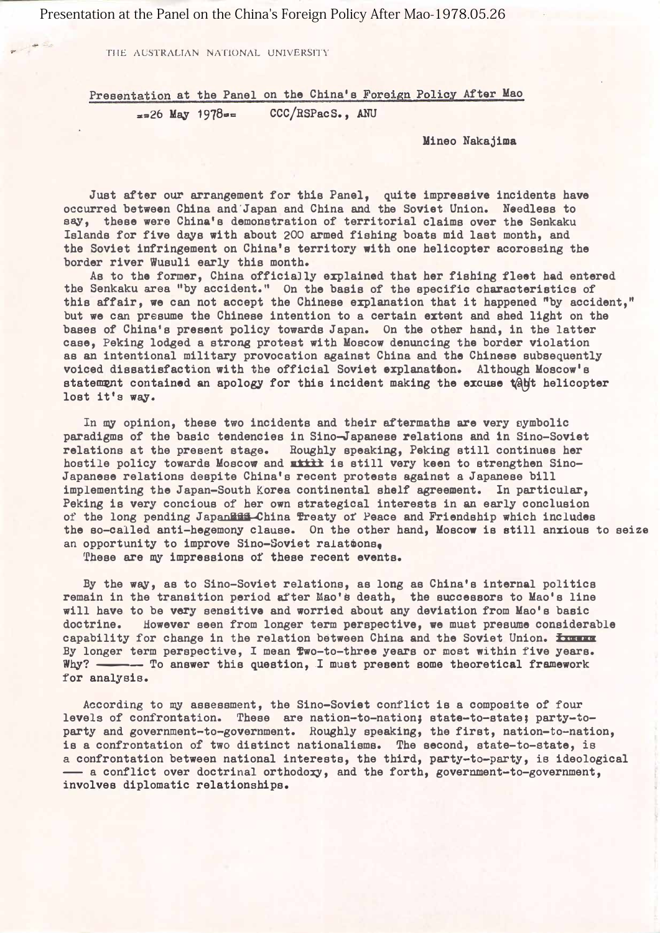Presentation at the Panel on the China's Foreign Policy After Mao-1978.05.26

THE AUSTRALIAN NATIONAL UNIVERSITY

 $\mathbb{Z}^r$ 

Presentation at the Panel on the China's Foreign Policy After Mao  $\sqrt{26}$  May 1978= CCC/RSPacS., ANU

Mineo Nakajima

Just after our arrangement for this Panel, quite impressive incidents have occurred between China and 'Japan and China and the Soviet Union. Noedless to aay, these were China's demonstration of territorial claims over the Senkaku Islands for five days with about 200 armed fishing boats mid last month, and the Soviet infringement on China's territory with one helicopter acorossing the border river Wusuli early this month.

As to the former, China officially explained that her fishing fleet had entered the Senkaku area "by accident." On the basis of the specific characteristics of this affair, we can not accept the Chinese explanation that it happened "by accident," but we can presume the Chinese intention to a certain extent and shed light on the bases of China's present policy towards Japan. On the other hand, in the latter case, Peking lodged a strong protest with Moscow denuncing the border violation as an intentional military provocation against China and the Chinese subsequently voiced dissatisfaction with the official Soviet explanation. Although Moscow's statement contained an apology for this incident making the excuse table helicopter lost it'g way.

In my opinion, these two incidents and their aftermaths are very symbolic paradigms of the basic tendencies in Sino-Japanese relations and in Sino-Soviet relations at the present stage. Roughly speaking, Peking still continues her hostile policy towards Moscow and xxxx is still very keen to strengthen Sino-Japanese relations despite China's recent protests against a Japanese bill implementing the Japan-South Korea continental shelf agreement. In particular, Peking is very concious of her own strategical interests in an early conclusion of the long pending JapanEff China Treaty of Peace and Friendship which includes the so-called anti-hegemony clause. On the other hand, Moscow is still anxious to seize an opportunity to improve Sino-Soviet ralatoons.

These are my impressions of these recent events.

By the way, as to Sino-Soviet relations, as long as China's internal politics remain in the transition period after Mao's death, the successors to Mao's line will have to be very sensitive and worried about any deviation from Mao's basic doctrine. However seen from longer term perspective, ve must presume considerable By longer term perspective, I mean two-to-three years or most within five years. capability for change in the relation between China and the Soviet Union. <del>Increa</del> Why? - To answer this question, I must present some theoretical framework for analysis.

According to my assessment, the Sino-Soviet conflict is a composite of four levels of confrontation. These are nation-to-nation; state-to-state; party-toparty and government-to-government. Roughly speaking, the first, nation-to-nation, is a confrontation of two distinct nationalisms. The second, state-to-state, is a confrontation between national interests, the third, party-to-party, is ideological - a conflict over doctrinal orthodoxy, and the forth, government-to-government, involves diplomatic relationships.